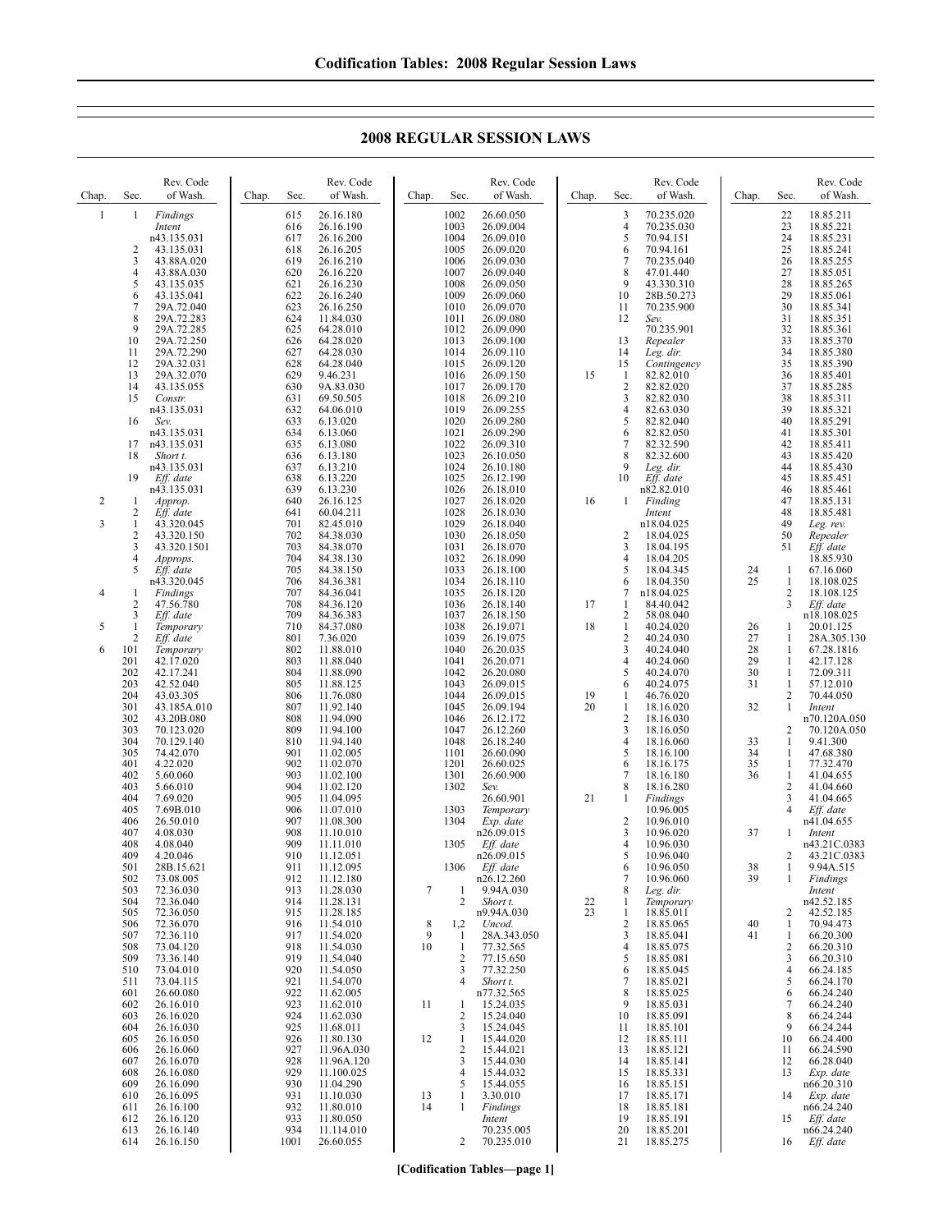**2008 REGULAR SESSION LAWS**

| 615<br>1002<br>26.60.050<br>1<br>1<br>Findings<br>26.16.180<br>3<br>1003<br>$\overline{4}$<br>616<br>26.16.190<br>26.09.004<br>Intent<br>5<br>1004<br>26.09.010<br>n43.135.031<br>617<br>26.16.200<br>2<br>1005<br>26.09.020<br>43.135.031<br>618<br>26.16.205<br>6<br>3<br>1006<br>$7\phantom{.0}$<br>619<br>26.16.210<br>26.09.030<br>43.88A.020<br>620<br>26.16.220<br>1007<br>26.09.040<br>8<br>4<br>43.88A.030<br>5<br>1008<br>9<br>621<br>26.16.230<br>26.09.050<br>43.135.035<br>622<br>26.16.240<br>1009<br>26.09.060<br>6<br>43.135.041<br>10<br>7<br>623<br>1010<br>26.09.070<br>29A.72.040<br>26.16.250<br>11                                                                                                                                                                                                                                                                                                                                                                                                                                                                                                                                                                                                                                                                                                                                                                                                                                                                                                                                                                                                                                                                                                                                                                                                                                                                                                                                                                                                                                                                                                                                                                                                                                                                                                                                                                                                                                                                                                                                                                                                                                                                                                                                                                                                                                                                                                                                                                                                                                                                                                                                                                                                                                                                                                                                                                                                                                                                                                                                                                                                                                                                                                                                                                                                                                                                                                                                                                                                                                                                                                                                                                                                                                                                                                                                                                                                                                                                                                                                                                                                                                                                                                                                                                                                                                                                                                                                                                                                                                                                                                                                                                                                                                                                   | 70.235.020<br>22<br>18.85.211<br>23<br>18.85.221<br>70.235.030<br>24<br>70.94.151<br>18.85.231<br>25<br>70.94.161<br>18.85.241<br>26<br>70.235.040<br>18.85.255<br>27<br>47.01.440<br>18.85.051<br>28<br>43.330.310<br>18.85.265<br>28B.50.273<br>29<br>18.85.061<br>30                                                                                                                                                                                                                                                                                                                                                                                                                                                                                                                                                                                                                                                                                                                                                                                                                                                                                                                                                                                                                                                                                                                                                                                                                                                                                                                                                                                                                                                                                                                                                                                                                                                                                                                                                                                                                                                                                                                                                                                                                                                                                                                                                                 |
|--------------------------------------------------------------------------------------------------------------------------------------------------------------------------------------------------------------------------------------------------------------------------------------------------------------------------------------------------------------------------------------------------------------------------------------------------------------------------------------------------------------------------------------------------------------------------------------------------------------------------------------------------------------------------------------------------------------------------------------------------------------------------------------------------------------------------------------------------------------------------------------------------------------------------------------------------------------------------------------------------------------------------------------------------------------------------------------------------------------------------------------------------------------------------------------------------------------------------------------------------------------------------------------------------------------------------------------------------------------------------------------------------------------------------------------------------------------------------------------------------------------------------------------------------------------------------------------------------------------------------------------------------------------------------------------------------------------------------------------------------------------------------------------------------------------------------------------------------------------------------------------------------------------------------------------------------------------------------------------------------------------------------------------------------------------------------------------------------------------------------------------------------------------------------------------------------------------------------------------------------------------------------------------------------------------------------------------------------------------------------------------------------------------------------------------------------------------------------------------------------------------------------------------------------------------------------------------------------------------------------------------------------------------------------------------------------------------------------------------------------------------------------------------------------------------------------------------------------------------------------------------------------------------------------------------------------------------------------------------------------------------------------------------------------------------------------------------------------------------------------------------------------------------------------------------------------------------------------------------------------------------------------------------------------------------------------------------------------------------------------------------------------------------------------------------------------------------------------------------------------------------------------------------------------------------------------------------------------------------------------------------------------------------------------------------------------------------------------------------------------------------------------------------------------------------------------------------------------------------------------------------------------------------------------------------------------------------------------------------------------------------------------------------------------------------------------------------------------------------------------------------------------------------------------------------------------------------------------------------------------------------------------------------------------------------------------------------------------------------------------------------------------------------------------------------------------------------------------------------------------------------------------------------------------------------------------------------------------------------------------------------------------------------------------------------------------------------------------------------------------------------------------------------------------------------------------------------------------------------------------------------------------------------------------------------------------------------------------------------------------------------------------------------------------------------------------------------------------------------------------------------------------------------------------------------------------------------------------------------------------------------------------------------------|-----------------------------------------------------------------------------------------------------------------------------------------------------------------------------------------------------------------------------------------------------------------------------------------------------------------------------------------------------------------------------------------------------------------------------------------------------------------------------------------------------------------------------------------------------------------------------------------------------------------------------------------------------------------------------------------------------------------------------------------------------------------------------------------------------------------------------------------------------------------------------------------------------------------------------------------------------------------------------------------------------------------------------------------------------------------------------------------------------------------------------------------------------------------------------------------------------------------------------------------------------------------------------------------------------------------------------------------------------------------------------------------------------------------------------------------------------------------------------------------------------------------------------------------------------------------------------------------------------------------------------------------------------------------------------------------------------------------------------------------------------------------------------------------------------------------------------------------------------------------------------------------------------------------------------------------------------------------------------------------------------------------------------------------------------------------------------------------------------------------------------------------------------------------------------------------------------------------------------------------------------------------------------------------------------------------------------------------------------------------------------------------------------------------------------------------|
| 8<br>624<br>11.84.030<br>26.09.080<br>29A.72.283<br>1011<br>12<br>Sev.<br>9<br>625<br>64.28.010<br>1012<br>26.09.090<br>29A.72.285<br>10<br>29A.72.250<br>626<br>64.28.020<br>1013<br>26.09.100<br>13<br>29A.72.290<br>627<br>64.28.030<br>1014<br>26.09.110<br>14<br>11<br>12<br>15<br>628<br>1015<br>26.09.120<br>29A.32.031<br>64.28.040<br>29A.32.070<br>629<br>9.46.231<br>1016<br>26.09.150<br>15<br>13<br>-1<br>$\overline{2}$<br>1017<br>14<br>43.135.055<br>630<br>9A.83.030<br>26.09.170<br>69.50.505<br>1018<br>26.09.210<br>3<br>15<br>631<br>Constr.<br>n43.135.031<br>632<br>1019<br>26.09.255<br>$\overline{4}$<br>64.06.010<br>1020<br>26.09.280<br>5<br>16<br>Sev.<br>633<br>6.13.020<br>634<br>1021<br>26.09.290<br>n43.135.031<br>6.13.060<br>6<br>n43.135.031<br>6.13.080<br>1022<br>26.09.310<br>$\overline{7}$<br>635<br>17<br>8<br>1023<br>18<br>Short t.<br>636<br>6.13.180<br>26.10.050<br>1024<br>9<br>n43.135.031<br>637<br>6.13.210<br>26.10.180<br>6.13.220<br>1025<br>26.12.190<br>19<br>Eff. date<br>638<br>10<br>1026<br>n43.135.031<br>639<br>6.13.230<br>26.18.010<br>$\overline{\mathbf{c}}$<br>26.16.125<br>1027<br>26.18.020<br>640<br>16<br>1<br>Approp.<br>1<br>2<br>1028<br>641<br>60.04.211<br>26.18.030<br>Eff. date<br>Intent<br>3<br>701<br>82.45.010<br>1029<br>26.18.040<br>43.320.045<br>1<br>2<br>702<br>1030<br>$\overline{2}$<br>43.320.150<br>84.38.030<br>26.18.050<br>3<br>703<br>84.38.070<br>1031<br>26.18.070<br>3<br>43.320.1501<br>704<br>1032<br>26.18.090<br>$\overline{4}$<br>4<br>84.38.130<br>Approps.<br>5<br>705<br>84.38.150<br>1033<br>26.18.100<br>5<br>Eff. date<br>1034<br>26.18.110<br>n43.320.045<br>706<br>84.36.381<br>6<br>1035<br>$7\phantom{.0}$<br>4<br>707<br>84.36.041<br>26.18.120<br>1<br>Findings<br>$\overline{2}$<br>47.56.780<br>708<br>1036<br>26.18.140<br>17<br>84.36.120<br>-1<br>3<br>709<br>$\overline{2}$<br>Eff. date<br>84.36.383<br>1037<br>26.18.150<br>5<br>710<br>1038<br>26.19.071<br>18<br>$\mathbf{1}$<br>1<br>84.37.080<br>Temporary<br>2<br>801<br>1039<br>26.19.075<br>$\overline{c}$<br>Eff. date<br>7.36.020<br>6<br>802<br>1040<br>26.20.035<br>3<br>101<br>Temporary<br>11.88.010<br>201<br>42.17.020<br>803<br>11.88.040<br>1041<br>26.20.071<br>$\overline{4}$<br>202<br>804<br>11.88.090<br>1042<br>26.20.080<br>5<br>42.17.241<br>203<br>805<br>1043<br>42.52.040<br>11.88.125<br>26.09.015<br>6<br>204<br>1044<br>43.03.305<br>806<br>11.76.080<br>26.09.015<br>19<br>$\mathbf{1}$<br>301<br>1045<br>26.09.194<br>20<br>$\mathbf{1}$<br>43.185A.010<br>807<br>11.92.140<br>$\overline{2}$<br>302<br>1046<br>808<br>11.94.090<br>26.12.172<br>43.20B.080<br>26.12.260<br>303<br>70.123.020<br>809<br>11.94.100<br>1047<br>3<br>304<br>810<br>1048<br>$\overline{4}$<br>70.129.140<br>11.94.140<br>26.18.240<br>305<br>901<br>1101<br>26.60.090<br>5<br>74.42.070<br>11.02.005<br>401<br>902<br>4.22.020<br>11.02.070<br>1201<br>26.60.025<br>6<br>402<br>903<br>11.02.100<br>1301<br>26.60.900<br>$\overline{7}$<br>5.60.060<br>403<br>904<br>1302<br>8<br>5.66.010<br>11.02.120<br>Sev.<br>404<br>7.69.020<br>905<br>11.04.095<br>26.60.901<br>21<br>-1<br>906<br>405<br>7.69B.010<br>11.07.010<br>1303<br>Temporary<br>907<br>$\overline{2}$<br>406<br>1304<br>26.50.010<br>11.08.300<br>Exp. date<br>908<br>n26.09.015<br>3<br>407<br>4.08.030<br>11.10.010<br>408<br>909<br>$\overline{4}$<br>4.08.040<br>1305<br>Eff. date<br>11.11.010<br>910<br>5<br>409<br>4.20.046<br>n26.09.015<br>11.12.051<br>28B.15.621<br>911<br>11.12.095<br>1306<br>Eff. date<br>501<br>6<br>502<br>73.08.005<br>912<br>11.12.180<br>n26.12.260<br>$\overline{7}$<br>503<br>72.36.030<br>913<br>11.28.030<br>7<br>9.94A.030<br>8<br>1<br>504<br>72.36.040<br>914<br>11.28.131<br>2<br>Short t.<br>$\frac{22}{23}$<br>$\mathbf{1}$<br>11.28.185<br>505<br>72.36.050<br>915<br>n9.94A.030<br>$\mathbf{1}$<br>$\overline{2}$<br>506<br>72.36.070<br>11.54.010<br>8<br>916<br>1,2<br>Uncod.<br>9<br>3<br>507<br>72.36.110<br>917<br>11.54.020<br>1<br>28A.343.050<br>10<br>508<br>918<br>$\mathbf{1}$<br>$\overline{4}$<br>73.04.120<br>11.54.030<br>77.32.565<br>$\sqrt{2}$<br>5<br>509<br>73.36.140<br>919<br>11.54.040<br>77.15.650<br>510<br>73.04.010<br>920<br>11.54.050<br>3<br>77.32.250<br>6<br>511<br>73.04.115<br>921<br>11.54.070<br>Short t.<br>$\overline{7}$<br>4<br>8<br>601<br>26.60.080<br>922<br>11.62.005<br>n77.32.565<br>602<br>26.16.010<br>923<br>11.62.010<br>15.24.035<br>9<br>11<br>1<br>$\overline{2}$<br>603<br>26.16.020<br>924<br>11.62.030<br>15.24.040<br>10<br>604<br>26.16.030<br>925<br>11.68.011<br>3<br>15.24.045<br>11<br>15.44.020<br>26.16.050<br>926<br>11.80.130<br>605<br>12<br>$\mathbf{1}$<br>12<br>927<br>$\overline{2}$<br>606<br>26.16.060<br>11.96A.030<br>15.44.021<br>13<br>26.16.070<br>928<br>15.44.030<br>607<br>11.96A.120<br>3<br>14<br>608<br>26.16.080<br>929<br>15<br>11.100.025<br>4<br>15.44.032<br>609<br>26.16.090<br>930<br>11.04.290<br>15.44.055<br>5<br>16<br>26.16.095<br>931<br>3.30.010<br>17<br>610<br>11.10.030<br>13<br>1<br>26.16.100<br>932<br>11.80.010<br>14<br>Findings<br>611<br>1<br>18<br>26.16.120<br>933<br>11.80.050<br>19<br>612<br>Intent<br>26.16.140<br>934<br>11.114.010<br>70.235.005<br>613<br>20 | 70.235.900<br>18.85.341<br>31<br>18.85.351<br>32<br>18.85.361<br>70.235.901<br>33<br>Repealer<br>18.85.370<br>34<br>Leg. dir.<br>18.85.380<br>35<br>18.85.390<br>Contingency<br>82.82.010<br>36<br>18.85.401<br>37<br>82.82.020<br>18.85.285<br>82.82.030<br>38<br>18.85.311<br>39<br>82.63.030<br>18.85.321<br>82.82.040<br>40<br>18.85.291<br>41<br>18.85.301<br>82.82.050<br>82.32.590<br>42<br>18.85.411<br>43<br>82.32.600<br>18.85.420<br>44<br>Leg. dir.<br>18.85.430<br>Eff. date<br>45<br>18.85.451<br>46<br>n82.82.010<br>18.85.461<br>Finding<br>47<br>18.85.131<br>48<br>18.85.481<br>49<br>n18.04.025<br>Leg. rev.<br>50<br>18.04.025<br>Repealer<br>51<br>18.04.195<br>Eff. date<br>18.85.930<br>18.04.205<br>18.04.345<br>24<br>67.16.060<br>1<br>25<br>18.04.350<br>1<br>18.108.025<br>2<br>18.108.125<br>n18.04.025<br>3<br>84.40.042<br>Eff. date<br>58.08.040<br>n18.108.025<br>26<br>40.24.020<br>20.01.125<br>1<br>27<br>40.24.030<br>28A.305.130<br>1<br>28<br>40.24.040<br>1<br>67.28.1816<br>29<br>40.24.060<br>1<br>42.17.128<br>30<br>40.24.070<br>1<br>72.09.311<br>31<br>40.24.075<br>1<br>57.12.010<br>2<br>46.76.020<br>70.44.050<br>32<br>18.16.020<br>1<br>Intent<br>18.16.030<br>n70.120A.050<br>2<br>18.16.050<br>70.120A.050<br>33<br>18.16.060<br>1<br>9.41.300<br>18.16.100<br>34<br>47.68.380<br>1<br>35<br>18.16.175<br>1<br>77.32.470<br>18.16.180<br>36<br>1<br>41.04.655<br>$\overline{\mathbf{c}}$<br>18.16.280<br>41.04.660<br>3<br>Findings<br>41.04.665<br>4<br>10.96.005<br>Eff. date<br>10.96.010<br>n41.04.655<br>37<br>10.96.020<br>Intent<br>10.96.030<br>n43.21C.0383<br>2<br>10.96.040<br>43.21C.0383<br>10.96.050<br>9.94A.515<br>38<br>1<br>10.96.060<br>39<br>Findings<br>1<br>Leg. dir.<br>Intent<br>n42.52.185<br>Temporary<br>18.85.011<br>2<br>42.52.185<br>18.85.065<br>40<br>1<br>70.94.473<br>18.85.041<br>41<br>66.20.300<br>1<br>18.85.075<br>2<br>66.20.310<br>18.85.081<br>3<br>66.20.310<br>18.85.045<br>4<br>66.24.185<br>18.85.021<br>5<br>66.24.170<br>6<br>18.85.025<br>66.24.240<br>18.85.031<br>7<br>66.24.240<br>8<br>18.85.091<br>66.24.244<br>9<br>18.85.101<br>66.24.244<br>18.85.111<br>10<br>66.24.400<br>18.85.121<br>11<br>66.24.590<br>18.85.141<br>66.28.040<br>12<br>18.85.331<br>13<br>Exp. date<br>18.85.151<br>n66.20.310<br>18.85.171<br>14<br>Exp. date<br>18.85.181<br>n66.24.240<br>18.85.191<br>Eff. date<br>15<br>18.85.201<br>n66.24.240 |

**[Codification Tables—page 1]**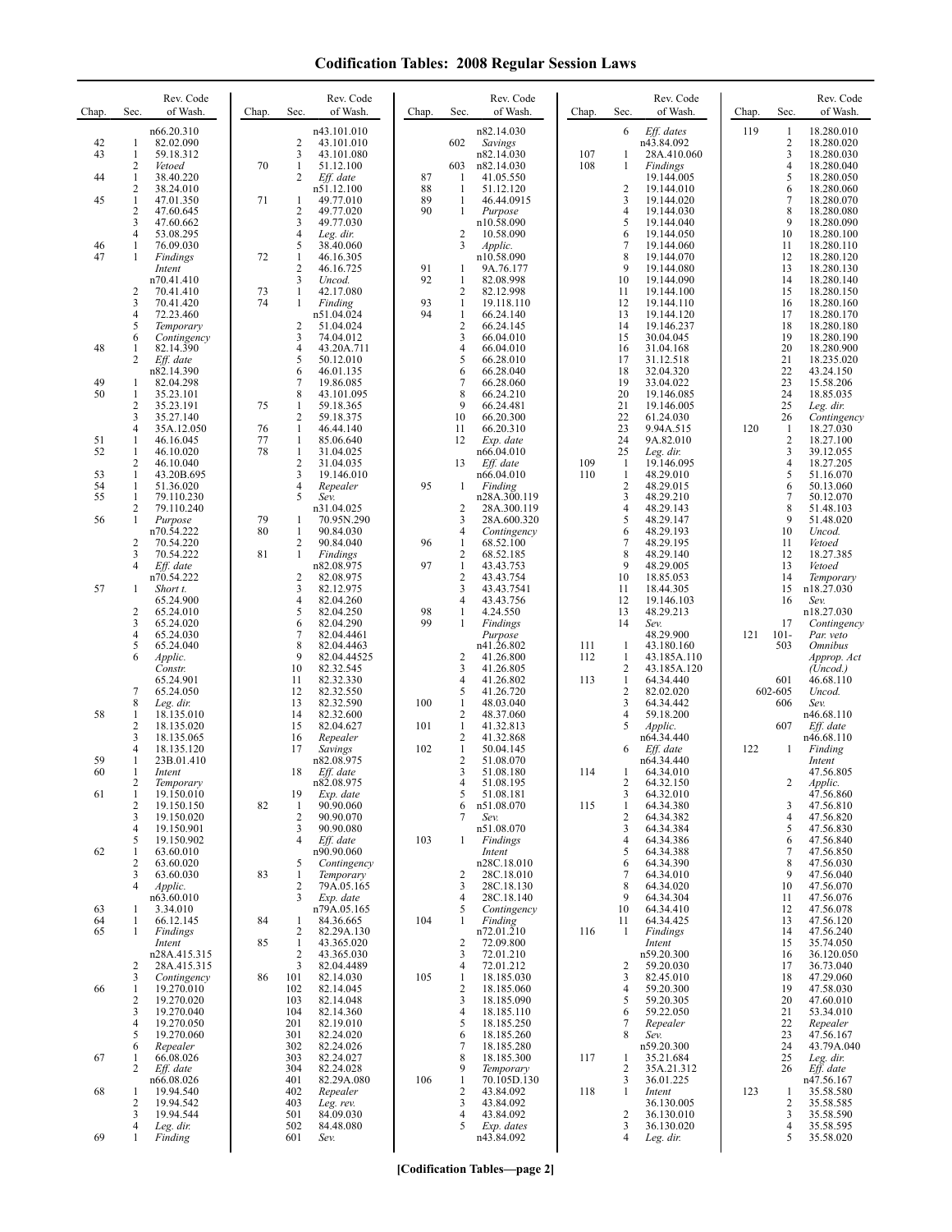| Chap.    | Sec.                | Rev. Code<br>of Wash.      | Chap.    | Sec.                           | Rev. Code<br>of Wash.     | Chap.    | Sec.                                    | Rev. Code<br>of Wash.      | Chap.      | Sec.                             | Rev. Code<br>of Wash.     | Chap. | Sec.                | Rev. Code<br>of Wash.         |
|----------|---------------------|----------------------------|----------|--------------------------------|---------------------------|----------|-----------------------------------------|----------------------------|------------|----------------------------------|---------------------------|-------|---------------------|-------------------------------|
|          |                     | n66.20.310<br>82.02.090    |          |                                | n43.101.010               |          |                                         | n82.14.030                 |            | 6                                | Eff. dates                | 119   | 1                   | 18.280.010                    |
| 42<br>43 | 1<br>$\mathbf{1}$   | 59.18.312                  |          | $\overline{2}$<br>3            | 43.101.010<br>43.101.080  |          | 602                                     | Savings<br>n82.14.030      | 107        | 1                                | n43.84.092<br>28A.410.060 |       | 2<br>3              | 18.280.020<br>18.280.030      |
|          | 2                   | Vetoed                     | 70       | 1<br>$\overline{2}$            | 51.12.100                 | 87       | 603                                     | n82.14.030                 | 108        | 1                                | Findings                  |       | 4<br>5              | 18.280.040                    |
| 44       | 1<br>2              | 38.40.220<br>38.24.010     |          |                                | Eff. date<br>n51.12.100   | 88       | $\mathbf{1}$<br>$\mathbf{1}$            | 41.05.550<br>51.12.120     |            | $\overline{2}$                   | 19.144.005<br>19.144.010  |       | 6                   | 18.280.050<br>18.280.060      |
| 45       | $\mathbf{1}$        | 47.01.350                  | 71       | 1                              | 49.77.010                 | 89       | $\mathbf{1}$                            | 46.44.0915                 |            | $\mathfrak{Z}$<br>$\overline{4}$ | 19.144.020                |       | 7                   | 18.280.070                    |
|          | 2<br>3              | 47.60.645<br>47.60.662     |          | $\overline{2}$<br>3            | 49.77.020<br>49.77.030    | 90       | $\mathbf{1}$                            | Purpose<br>n10.58.090      |            | 5                                | 19.144.030<br>19.144.040  |       | 8<br>9              | 18.280.080<br>18.280.090      |
|          | 4<br>1              | 53.08.295                  |          | 4                              | Leg. dir.                 |          | $\overline{c}$                          | 10.58.090                  |            | 6                                | 19.144.050                |       | 10                  | 18.280.100                    |
| 46<br>47 | 1                   | 76.09.030<br>Findings      | 72       | 5<br>1                         | 38.40.060<br>46.16.305    |          | 3                                       | Applic.<br>n10.58.090      |            | $\overline{7}$<br>8              | 19.144.060<br>19.144.070  |       | 11<br>12            | 18.280.110<br>18.280.120      |
|          |                     | Intent                     |          | 2<br>3                         | 46.16.725                 | 91<br>92 | 1                                       | 9A.76.177                  |            | 9                                | 19.144.080                |       | 13                  | 18.280.130                    |
|          | 2                   | n70.41.410<br>70.41.410    | 73       | 1                              | Uncod.<br>42.17.080       |          | 1<br>2                                  | 82.08.998<br>82.12.998     |            | 10<br>11                         | 19.144.090<br>19.144.100  |       | 14<br>15            | 18.280.140<br>18.280.150      |
|          | 3<br>4              | 70.41.420                  | 74       | $\mathbf{1}$                   | Finding                   | 93<br>94 | $\mathbf{1}$<br>$\mathbf{1}$            | 19.118.110                 |            | 12<br>13                         | 19.144.110                |       | 16<br>17            | 18.280.160                    |
|          | 5                   | 72.23.460<br>Temporary     |          | 2                              | n51.04.024<br>51.04.024   |          | $\overline{2}$                          | 66.24.140<br>66.24.145     |            | 14                               | 19.144.120<br>19.146.237  |       | 18                  | 18.280.170<br>18.280.180      |
| 48       | 6<br>1              | Contingency<br>82.14.390   |          | 3<br>$\overline{4}$            | 74.04.012<br>43.20A.711   |          | 3<br>4                                  | 66.04.010<br>66.04.010     |            | 15<br>16                         | 30.04.045<br>31.04.168    |       | 19<br>20            | 18.280.190<br>18.280.900      |
|          | 2                   | Eff. date                  |          | 5                              | 50.12.010                 |          | 5                                       | 66.28.010                  |            | 17                               | 31.12.518                 |       | 21                  | 18.235.020                    |
| 49       | 1                   | n82.14.390<br>82.04.298    |          | 6<br>$\overline{7}$            | 46.01.135<br>19.86.085    |          | 6<br>7                                  | 66.28.040<br>66.28.060     |            | 18<br>19                         | 32.04.320<br>33.04.022    |       | 22<br>23            | 43.24.150<br>15.58.206        |
| 50       | 1                   | 35.23.101                  |          | $\,$ 8 $\,$                    | 43.101.095                |          | 8                                       | 66.24.210                  |            | 20                               | 19.146.085                |       | 24                  | 18.85.035                     |
|          | $\overline{c}$<br>3 | 35.23.191<br>35.27.140     | 75       | 1<br>2                         | 59.18.365<br>59.18.375    |          | 9<br>10                                 | 66.24.481<br>66.20.300     |            | 21<br>22                         | 19.146.005<br>61.24.030   |       | 25<br>26            | Leg. dir.<br>Contingency      |
|          | 4                   | 35A.12.050                 | 76       | $\mathbf{1}$                   | 46.44.140                 |          | 11                                      | 66.20.310                  |            | 23                               | 9.94A.515                 | 120   | 1                   | 18.27.030                     |
| 51<br>52 | 1<br>1              | 46.16.045<br>46.10.020     | 77<br>78 | $\mathbf{1}$<br>$\mathbf{1}$   | 85.06.640<br>31.04.025    |          | 12                                      | Exp. date<br>n66.04.010    |            | 24<br>25                         | 9A.82.010<br>Leg. dir.    |       | $\overline{c}$<br>3 | 18.27.100<br>39.12.055        |
|          | 2                   | 46.10.040                  |          | $\overline{c}$                 | 31.04.035                 |          | 13                                      | Eff. date                  | 109        | $\mathbf{1}$                     | 19.146.095                |       | 4                   | 18.27.205                     |
| 53<br>54 | 1<br>1              | 43.20B.695<br>51.36.020    |          | 3<br>4                         | 19.146.010<br>Repealer    | 95       | 1                                       | n66.04.010<br>Finding      | 110        | $\mathbf{1}$<br>$\sqrt{2}$       | 48.29.010<br>48.29.015    |       | 5<br>6              | 51.16.070<br>50.13.060        |
| 55       | 1                   | 79.110.230                 |          | 5                              | Sev.                      |          |                                         | n28A.300.119               |            | 3                                | 48.29.210                 |       | $\tau$              | 50.12.070                     |
| 56       | 2<br>1              | 79.110.240<br>Purpose      | 79       | -1                             | n31.04.025<br>70.95N.290  |          | 2<br>3                                  | 28A.300.119<br>28A.600.320 |            | $\overline{4}$<br>5              | 48.29.143<br>48.29.147    |       | 8<br>9              | 51.48.103<br>51.48.020        |
|          |                     | n70.54.222                 | 80       | $\mathbf{1}$                   | 90.84.030                 |          | 4                                       | Contingency                |            | 6                                | 48.29.193                 |       | 10                  | Uncod.                        |
|          | 2<br>3              | 70.54.220<br>70.54.222     | 81       | 2<br>1                         | 90.84.040<br>Findings     | 96       | $\mathbf{1}$<br>$\overline{\mathbf{c}}$ | 68.52.100<br>68.52.185     |            | $\overline{7}$<br>8              | 48.29.195<br>48.29.140    |       | 11<br>12            | Vetoed<br>18.27.385           |
|          | 4                   | Eff. date                  |          |                                | n82.08.975                | 97       | $\mathbf{1}$                            | 43.43.753                  |            | 9                                | 48.29.005                 |       | 13                  | Vetoed                        |
| 57       | 1                   | n70.54.222<br>Short t.     |          | $\overline{2}$<br>3            | 82.08.975<br>82.12.975    |          | $\overline{2}$<br>3                     | 43.43.754<br>43.43.7541    |            | 10<br>11                         | 18.85.053<br>18.44.305    |       | 14<br>15            | Temporary<br>n18.27.030       |
|          |                     | 65.24.900                  |          | 4                              | 82.04.260                 |          | 4                                       | 43.43.756                  |            | 12                               | 19.146.103                |       | 16                  | Sev.                          |
|          | $\overline{c}$<br>3 | 65.24.010<br>65.24.020     |          | 5<br>6                         | 82.04.250<br>82.04.290    | 98<br>99 | 1<br>1                                  | 4.24.550<br>Findings       |            | 13<br>14                         | 48.29.213<br>Sev.         |       | 17                  | n18.27.030<br>Contingency     |
|          | 4                   | 65.24.030                  |          | 7                              | 82.04.4461                |          |                                         | Purpose                    |            |                                  | 48.29.900                 | 121   | $101 -$             | Par. veto                     |
|          | 5<br>6              | 65.24.040<br>Applic.       |          | 8<br>9                         | 82.04.4463<br>82.04.44525 |          | 2                                       | n41.26.802<br>41.26.800    | 111<br>112 | -1<br>$\mathbf{1}$               | 43.180.160<br>43.185A.110 |       | 503                 | <b>Omnibus</b><br>Approp. Act |
|          |                     | Constr.<br>65.24.901       |          | 10<br>11                       | 82.32.545<br>82.32.330    |          | 3<br>4                                  | 41.26.805<br>41.26.802     | 113        | $\overline{2}$<br>1              | 43.185A.120<br>64.34.440  |       | 601                 | (Uncod.)<br>46.68.110         |
|          | 7                   | 65.24.050                  |          | 12                             | 82.32.550                 |          | 5                                       | 41.26.720                  |            | $\overline{2}$                   | 82.02.020                 |       | 602-605             | Uncod.                        |
| 58       | 8<br>1              | Leg. dir.<br>18.135.010    |          | 13<br>14                       | 82.32.590<br>82.32.600    | 100      | 1<br>$\overline{c}$                     | 48.03.040<br>48.37.060     |            | 3<br>$\overline{4}$              | 64.34.442<br>59.18.200    |       | 606                 | Sev.<br>n46.68.110            |
|          | 2                   | 18.135.020                 |          | 15                             | 82.04.627                 | 101      | $\mathbf{1}$                            | 41.32.813                  |            | 5                                | Applic.                   |       | 607                 | Eff. date                     |
|          | 3<br>4              | 18.135.065<br>18.135.120   |          | 16<br>17                       | Repealer<br>Savings       | 102      | 2<br>$\mathbf{1}$                       | 41.32.868<br>50.04.145     |            | 6                                | n64.34.440<br>$Eff.$ date | 122   | 1                   | n46.68.110<br>Finding         |
| 59       | 1                   | 23B.01.410                 |          |                                | n82.08.975                |          | $\overline{2}$                          | 51.08.070                  |            |                                  | n64.34.440                |       |                     | Intent                        |
| 60       | 1<br>2              | Intent<br>Temporary        |          | 18                             | Eff. date<br>n82.08.975   |          | 3<br>4                                  | 51.08.180<br>51.08.195     | 114        | -1<br>2                          | 64.34.010<br>64.32.150    |       | 2                   | 47.56.805<br>Applic.          |
| 61       | $\mathbf{1}$        | 19.150.010                 |          | 19                             | Exp. date                 |          | 5                                       | 51.08.181                  |            | 3                                | 64.32.010                 |       |                     | 47.56.860                     |
|          | 2<br>3              | 19.150.150<br>19.150.020   | 82       | 1<br>$\overline{2}$            | 90.90.060<br>90.90.070    |          | 6<br>7                                  | n51.08.070<br>Sev.         | 115        | 1<br>$\overline{2}$              | 64.34.380<br>64.34.382    |       | 3<br>$\overline{4}$ | 47.56.810<br>47.56.820        |
|          | 4                   | 19.150.901<br>19.150.902   |          | 3<br>$\overline{4}$            | 90.90.080                 |          | 1                                       | n51.08.070<br>Findings     |            | 3<br>$\overline{4}$              | 64.34.384<br>64.34.386    |       | 5<br>6              | 47.56.830                     |
| 62       | 5<br>1              | 63.60.010                  |          |                                | Eff. date<br>n90.90.060   | 103      |                                         | Intent                     |            | 5                                | 64.34.388                 |       | 7                   | 47.56.840<br>47.56.850        |
|          | $\overline{c}$<br>3 | 63.60.020<br>63.60.030     | 83       | 5<br>1                         | Contingency<br>Temporary  |          | 2                                       | n28C.18.010<br>28C.18.010  |            | 6<br>7                           | 64.34.390<br>64.34.010    |       | 8<br>9              | 47.56.030<br>47.56.040        |
|          | 4                   | Applic.                    |          | $\overline{c}$                 | 79A.05.165                |          | 3                                       | 28C.18.130                 |            | 8                                | 64.34.020                 |       | 10                  | 47.56.070                     |
| 63       | 1                   | n63.60.010<br>3.34.010     |          | 3                              | Exp. date<br>n79A.05.165  |          | 4<br>5                                  | 28C.18.140<br>Contingency  |            | 9<br>10                          | 64.34.304<br>64.34.410    |       | 11<br>12            | 47.56.076<br>47.56.078        |
| 64       | 1                   | 66.12.145                  | 84       | 1                              | 84.36.665                 | 104      | 1                                       | Finding                    |            | 11                               | 64.34.425                 |       | 13                  | 47.56.120                     |
| 65       | 1                   | Findings<br>Intent         | 85       | $\overline{c}$<br>$\mathbf{1}$ | 82.29A.130<br>43.365.020  |          | $\overline{c}$                          | n72.01.210<br>72.09.800    | 116        | 1                                | Findings<br>Intent        |       | 14<br>15            | 47.56.240<br>35.74.050        |
|          |                     | n28A.415.315               |          | $\overline{2}$                 | 43.365.030                |          | 3                                       | 72.01.210                  |            |                                  | n59.20.300                |       | 16                  | 36.120.050                    |
|          | 2<br>3              | 28A.415.315<br>Contingency | 86       | 3<br>101                       | 82.04.4489<br>82.14.030   | 105      | 4<br>$\mathbf{1}$                       | 72.01.212<br>18.185.030    |            | $\overline{c}$<br>3              | 59.20.030<br>82.45.010    |       | 17<br>18            | 36.73.040<br>47.29.060        |
| 66       | 1                   | 19.270.010                 |          | 102                            | 82.14.045                 |          | $\overline{2}$                          | 18.185.060                 |            | $\overline{4}$                   | 59.20.300                 |       | 19                  | 47.58.030                     |
|          | 2<br>3              | 19.270.020<br>19.270.040   |          | 103<br>104                     | 82.14.048<br>82.14.360    |          | 3<br>4                                  | 18.185.090<br>18.185.110   |            | 5<br>6                           | 59.20.305<br>59.22.050    |       | 20<br>21            | 47.60.010<br>53.34.010        |
|          | 4                   | 19.270.050                 |          | 201                            | 82.19.010                 |          | 5                                       | 18.185.250                 |            | 7                                | Repealer                  |       | 22                  | Repealer                      |
|          | 5<br>6              | 19.270.060<br>Repealer     |          | 301<br>302                     | 82.24.020<br>82.24.026    |          | 6<br>7                                  | 18.185.260<br>18.185.280   |            | 8                                | Sev.<br>n59.20.300        |       | 23<br>24            | 47.56.167<br>43.79A.040       |
| 67       | 1                   | 66.08.026                  |          | 303                            | 82.24.027                 |          | 8<br>9                                  | 18.185.300                 | 117        | 1                                | 35.21.684                 |       | 25                  | Leg. dir.                     |
|          | 2                   | Eff. date<br>n66.08.026    |          | 304<br>401                     | 82.24.028<br>82.29A.080   | 106      | $\mathbf{1}$                            | Temporary<br>70.105D.130   |            | $\overline{2}$<br>3              | 35A.21.312<br>36.01.225   |       | 26                  | Eff. date<br>n47.56.167       |
| 68       | 1<br>2              | 19.94.540<br>19.94.542     |          | 402<br>403                     | Repealer<br>Leg. rev.     |          | $\sqrt{2}$<br>3                         | 43.84.092<br>43.84.092     | 118        | 1                                | Intent<br>36.130.005      | 123   | 1<br>2              | 35.58.580<br>35.58.585        |
|          | 3                   | 19.94.544                  |          | 501                            | 84.09.030                 |          | 4                                       | 43.84.092                  |            | $\overline{c}$                   | 36.130.010                |       | 3                   | 35.58.590                     |
| 69       | 4<br>1              | Leg. dir.<br>Finding       |          | 502<br>601                     | 84.48.080<br>Sev.         |          | 5                                       | Exp. dates<br>n43.84.092   |            | 3<br>$\overline{4}$              | 36.130.020<br>Leg. dir.   |       | 4<br>5              | 35.58.595<br>35.58.020        |
|          |                     |                            |          |                                |                           |          |                                         |                            |            |                                  |                           |       |                     |                               |

**[Codification Tables—page 2]**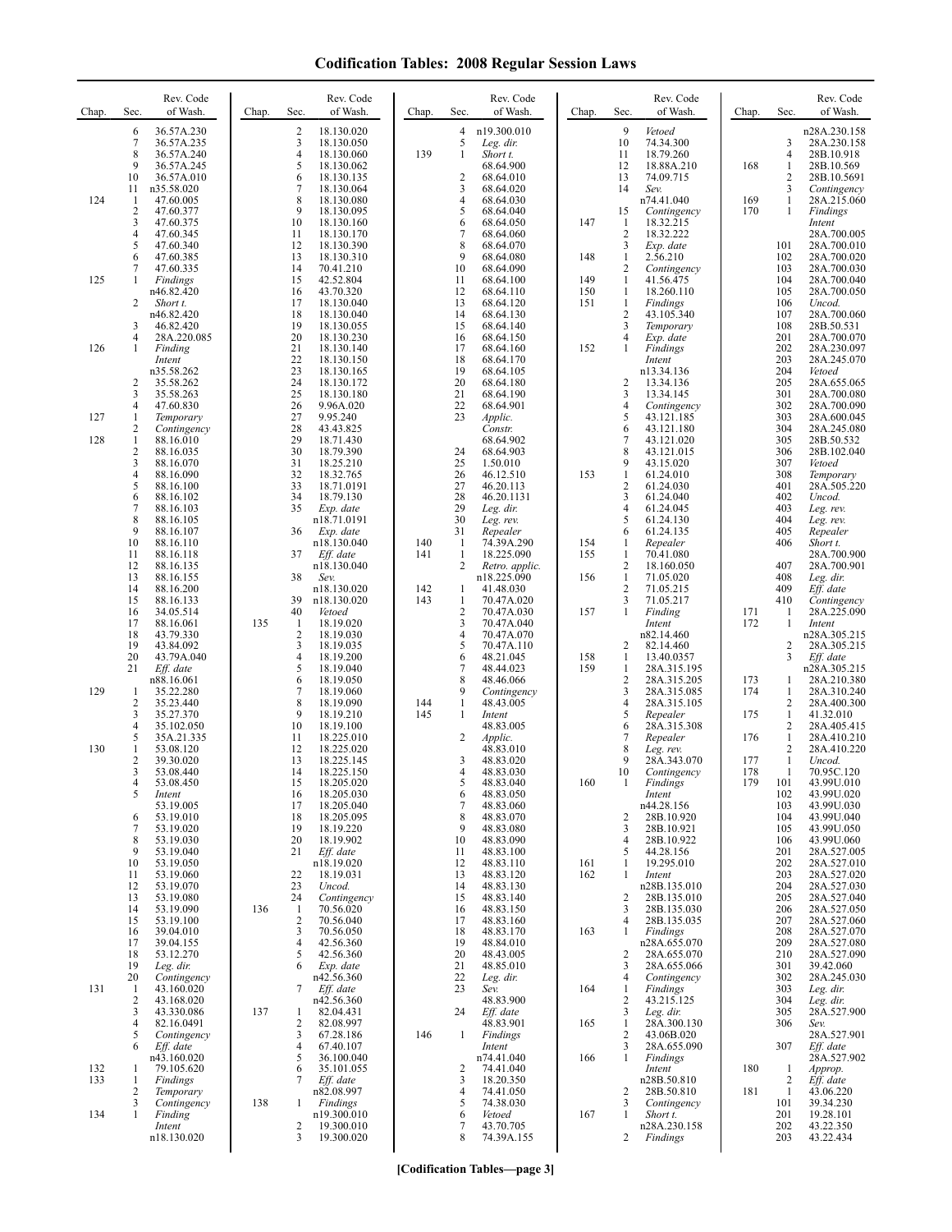| Chap.      | Rev. Code<br>of Wash.<br>Sec.                                                                                                                                                                  | Chap. | Rev. Code<br>of Wash.<br>Sec.                                                                                                                                                         | Chap.                    | Sec.                                                           | Rev. Code<br>of Wash.                                                                                              | Chap.                    | Sec.                                                                                   | Rev. Code<br>of Wash.                                                                                                      | Chap.                    | Sec.                                                               | Rev. Code<br>of Wash.                                                                                                      |
|------------|------------------------------------------------------------------------------------------------------------------------------------------------------------------------------------------------|-------|---------------------------------------------------------------------------------------------------------------------------------------------------------------------------------------|--------------------------|----------------------------------------------------------------|--------------------------------------------------------------------------------------------------------------------|--------------------------|----------------------------------------------------------------------------------------|----------------------------------------------------------------------------------------------------------------------------|--------------------------|--------------------------------------------------------------------|----------------------------------------------------------------------------------------------------------------------------|
| 124        | 6<br>36.57A.230<br>7<br>36.57A.235<br>8<br>36.57A.240<br>9<br>36.57A.245<br>10<br>36.57A.010<br>n35.58.020<br>11<br>$\mathbf{1}$<br>47.60.005<br>$\overline{2}$<br>47.60.377<br>3<br>47.60.375 |       | 2<br>18.130.020<br>3<br>18.130.050<br>$\overline{4}$<br>18.130.060<br>5<br>18.130.062<br>6<br>18.130.135<br>7<br>18.130.064<br>8<br>18.130.080<br>9<br>18.130.095<br>10<br>18.130.160 | 139                      | 4<br>5<br>1<br>$\overline{c}$<br>3<br>$\overline{4}$<br>5<br>6 | n19.300.010<br>Leg. dir.<br>Short t.<br>68.64.900<br>68.64.010<br>68.64.020<br>68.64.030<br>68.64.040<br>68.64.050 | 147                      | $\mathbf{Q}$<br>10<br>11<br>12<br>13<br>14<br>15<br>-1                                 | Vetoed<br>74.34.300<br>18.79.260<br>18.88A.210<br>74.09.715<br>Sev.<br>n74.41.040<br>Contingency<br>18.32.215              | 168<br>169<br>170        | 3<br>$\overline{4}$<br>1<br>2<br>3<br>$\mathbf{1}$<br>$\mathbf{1}$ | n28A.230.158<br>28A.230.158<br>28B.10.918<br>28B.10.569<br>28B.10.5691<br>Contingency<br>28A.215.060<br>Findings<br>Intent |
| 125        | 4<br>47.60.345<br>5<br>47.60.340<br>6<br>47.60.385<br>7<br>47.60.335<br>1<br>Findings<br>n46.82.420<br>2<br>Short t.<br>n46.82.420                                                             |       | 11<br>18.130.170<br>12<br>18.130.390<br>13<br>18.130.310<br>14<br>70.41.210<br>15<br>42.52.804<br>16<br>43.70.320<br>17<br>18.130.040<br>18<br>18.130.040                             |                          | 7<br>8<br>9<br>10<br>11<br>12<br>13<br>14                      | 68.64.060<br>68.64.070<br>68.64.080<br>68.64.090<br>68.64.100<br>68.64.110<br>68.64.120<br>68.64.130               | 148<br>149<br>150<br>151 | $\overline{2}$<br>3<br>$\mathbf{1}$<br>$\overline{2}$<br>1<br>1<br>1<br>$\overline{c}$ | 18.32.222<br>Exp. date<br>$2.\overline{5}6.210$<br>Contingency<br>41.56.475<br>18.260.110<br><b>Findings</b><br>43.105.340 |                          | 101<br>102<br>103<br>104<br>105<br>106<br>107                      | 28A.700.005<br>28A.700.010<br>28A.700.020<br>28A.700.030<br>28A.700.040<br>28A.700.050<br>Uncod.<br>28A.700.060            |
| 126        | 3<br>46.82.420<br>4<br>28A.220.085<br>$\mathbf{1}$<br>Finding<br>Intent<br>n35.58.262<br>2<br>35.58.262<br>3<br>35.58.263                                                                      |       | 19<br>18.130.055<br>20<br>18.130.230<br>21<br>18.130.140<br>22<br>18.130.150<br>23<br>18.130.165<br>24<br>18.130.172<br>25<br>18.130.180                                              |                          | 15<br>16<br>17<br>18<br>19<br>20<br>21                         | 68.64.140<br>68.64.150<br>68.64.160<br>68.64.170<br>68.64.105<br>68.64.180<br>68.64.190                            | 152                      | 3<br>4<br>$\mathbf{1}$<br>$\overline{c}$<br>3                                          | Temporary<br>Exp. date<br>Findings<br>Intent<br>n13.34.136<br>13.34.136<br>13.34.145                                       |                          | 108<br>201<br>202<br>203<br>204<br>205<br>301                      | 28B.50.531<br>28A.700.070<br>28A.230.097<br>28A.245.070<br>Vetoed<br>28A.655.065<br>28A.700.080                            |
| 127<br>128 | 4<br>47.60.830<br>$\mathbf{1}$<br>Temporary<br>2<br>Contingency<br>1<br>88.16.010<br>$\overline{2}$<br>88.16.035                                                                               |       | 26<br>9.96A.020<br>27<br>9.95.240<br>28<br>43.43.825<br>29<br>18.71.430<br>30<br>18.79.390                                                                                            |                          | 22<br>23<br>24                                                 | 68.64.901<br>Applic.<br>Constr.<br>68.64.902<br>68.64.903                                                          |                          | 4<br>5<br>6<br>$\tau$<br>8                                                             | Contingency<br>43.121.185<br>43.121.180<br>43.121.020<br>43.121.015                                                        |                          | 302<br>303<br>304<br>305<br>306                                    | 28A.700.090<br>28A.600.045<br>28A.245.080<br>28B.50.532<br>28B.102.040                                                     |
|            | 3<br>88.16.070<br>4<br>88.16.090<br>5<br>88.16.100<br>6<br>88.16.102<br>7<br>88.16.103<br>8<br>88.16.105<br>9                                                                                  |       | 31<br>18.25.210<br>32<br>18.32.765<br>33<br>18.71.0191<br>34<br>18.79.130<br>35<br>Exp. date<br>n18.71.0191                                                                           |                          | 25<br>26<br>27<br>28<br>29<br>30                               | 1.50.010<br>46.12.510<br>46.20.113<br>46.20.1131<br>Leg. dir.<br>Leg. rev.                                         | 153                      | 9<br>1<br>$\overline{c}$<br>3<br>$\overline{4}$<br>5                                   | 43.15.020<br>61.24.010<br>61.24.030<br>61.24.040<br>61.24.045<br>61.24.130                                                 |                          | 307<br>308<br>401<br>402<br>403<br>404                             | Vetoed<br>Temporary<br>28A.505.220<br>Uncod.<br>Leg. rev.<br>Leg. rev.                                                     |
|            | 88.16.107<br>10<br>88.16.110<br>11<br>88.16.118<br>12<br>88.16.135<br>13<br>88.16.155<br>14<br>88.16.200<br>15<br>88.16.133                                                                    |       | 36<br>Exp. date<br>n18.130.040<br>37<br>Eff. date<br>n18.130.040<br>38<br>Sev.<br>n18.130.020<br>39<br>n18.130.020                                                                    | 140<br>141<br>142<br>143 | 31<br>-1<br>$\mathbf{1}$<br>2<br>1<br>$\mathbf{1}$             | Repealer<br>74.39A.290<br>18.225.090<br>Retro. applic.<br>n18.225.090<br>41.48.030<br>70.47A.020                   | 154<br>155<br>156        | 6<br>1<br>1<br>$\overline{c}$<br>1<br>$\overline{2}$<br>3                              | 61.24.135<br>Repealer<br>70.41.080<br>18.160.050<br>71.05.020<br>71.05.215<br>71.05.217                                    |                          | 405<br>406<br>407<br>408<br>409<br>410                             | Repealer<br>Short t.<br>28A.700.900<br>28A.700.901<br>Leg. dir.<br>Eff. date<br>Contingency                                |
|            | 16<br>34.05.514<br>17<br>88.16.061<br>18<br>43.79.330<br>19<br>43.84.092<br>20<br>43.79A.040<br>21<br>Eff. date                                                                                | 135   | 40<br>Vetoed<br>18.19.020<br>1<br>$\overline{\mathbf{c}}$<br>18.19.030<br>3<br>18.19.035<br>$\overline{4}$<br>18.19.200<br>5<br>18.19.040                                             |                          | $\overline{2}$<br>3<br>$\overline{4}$<br>5<br>6<br>7           | 70.47A.030<br>70.47A.040<br>70.47A.070<br>70.47A.110<br>48.21.045<br>48.44.023                                     | 157<br>158<br>159        | $\mathbf{1}$<br>$\overline{c}$<br>1<br>1                                               | Finding<br>Intent<br>n82.14.460<br>82.14.460<br>13.40.0357<br>28A.315.195                                                  | 171<br>172               | 1<br>1<br>2<br>$\overline{3}$                                      | 28A.225.090<br>Intent<br>n28A.305.215<br>28A.305.215<br>Eff. date<br>n28A.305.215                                          |
| 129<br>130 | n88.16.061<br>-1<br>35.22.280<br>$\overline{2}$<br>35.23.440<br>3<br>35.27.370<br>4<br>35.102.050<br>5<br>35A.21.335<br>1<br>53.08.120                                                         |       | 6<br>18.19.050<br>7<br>18.19.060<br>8<br>18.19.090<br>9<br>18.19.210<br>10<br>18.19.100<br>11<br>18.225.010<br>12<br>18.225.020                                                       | 144<br>145               | 8<br>9<br>$\mathbf{1}$<br>-1<br>2                              | 48.46.066<br>Contingency<br>48.43.005<br>Intent<br>48.83.005<br><i>Applic.</i><br>48.83.010                        |                          | $\overline{c}$<br>3<br>$\overline{4}$<br>5<br>6<br>$\overline{7}$<br>8                 | 28A.315.205<br>28A.315.085<br>28A.315.105<br>Repealer<br>28A.315.308<br>Repealer<br>Leg. rev.                              | 173<br>174<br>175<br>176 | 1<br>1<br>$\mathbf{2}$<br>$\mathbf{1}$<br>2<br>$\mathbf{1}$<br>2   | 28A.210.380<br>28A.310.240<br>28A.400.300<br>41.32.010<br>28A.405.415<br>28A.410.210<br>28A.410.220                        |
|            | 2<br>39.30.020<br>3<br>53.08.440<br>53.08.450<br>4<br>5<br>Intent<br>53.19.005<br>53.19.010<br>6                                                                                               |       | 13<br>18.225.145<br>14<br>18.225.150<br>15<br>18.205.020<br>18.205.030<br>16<br>18.205.040<br>17<br>18<br>18.205.095                                                                  |                          | 3<br>4<br>5<br>6<br>$7\phantom{.0}$<br>8                       | 48.83.020<br>48.83.030<br>48.83.040<br>48.83.050<br>48.83.060<br>48.83.070                                         | 160                      | 9<br>10<br>$\overline{c}$                                                              | 28A.343.070<br>Contingency<br>Findings<br>Intent<br>n44.28.156<br>28B.10.920                                               | 177<br>178<br>179        | $\mathbf{1}$<br>1<br>101<br>102<br>103<br>104                      | Uncod.<br>70.95C.120<br>43.99U.010<br>43.99U.020<br>43.99U.030<br>43.99U.040                                               |
|            | 53.19.020<br>7<br>8<br>53.19.030<br>9<br>53.19.040<br>10<br>53.19.050<br>53.19.060<br>11<br>12<br>53.19.070                                                                                    |       | 19<br>18.19.220<br>20<br>18.19.902<br>21<br>Eff. date<br>n18.19.020<br>22<br>18.19.031<br>23<br>Uncod.<br>24                                                                          |                          | 9<br>10<br>11<br>12<br>13<br>14                                | 48.83.080<br>48.83.090<br>48.83.100<br>48.83.110<br>48.83.120<br>48.83.130                                         | 161<br>162               | 3<br>$\overline{4}$<br>5<br>1<br>1                                                     | 28B.10.921<br>28B.10.922<br>44.28.156<br>19.295.010<br>Intent<br>n28B.135.010                                              |                          | 105<br>106<br>201<br>202<br>203<br>204                             | 43.99U.050<br>43.99U.060<br>28A.527.005<br>28A.527.010<br>28A.527.020<br>28A.527.030                                       |
|            | 13<br>53.19.080<br>14<br>53.19.090<br>15<br>53.19.100<br>39.04.010<br>16<br>17<br>39.04.155<br>18<br>53.12.270<br>19<br>Leg. dir.                                                              | 136   | Contingency<br>$\mathbf{1}$<br>70.56.020<br>$\overline{2}$<br>70.56.040<br>3<br>70.56.050<br>4<br>42.56.360<br>5<br>42.56.360<br>6<br>Exp. date                                       |                          | 15<br>16<br>17<br>18<br>19<br>20<br>21                         | 48.83.140<br>48.83.150<br>48.83.160<br>48.83.170<br>48.84.010<br>48.43.005<br>48.85.010                            | 163                      | 2<br>3<br>4<br>1<br>2<br>3                                                             | 28B.135.010<br>28B.135.030<br>28B.135.035<br>Findings<br>n28A.655.070<br>28A.655.070<br>28A.655.066                        |                          | 205<br>206<br>207<br>208<br>209<br>210<br>301                      | 28A.527.040<br>28A.527.050<br>28A.527.060<br>28A.527.070<br>28A.527.080<br>28A.527.090<br>39.42.060                        |
| 131        | 20<br>Contingency<br>43.160.020<br>$\mathbf{1}$<br>$\overline{2}$<br>43.168.020<br>3<br>43.330.086<br>4<br>82.16.0491<br>5<br>Contingency                                                      | 137   | n42.56.360<br>7<br>Eff. date<br>n42.56.360<br>82.04.431<br>1<br>2<br>82.08.997<br>3<br>67.28.186                                                                                      | 146                      | 22<br>23<br>24<br>1                                            | Leg. dir.<br>Sev.<br>48.83.900<br>Eff. date<br>48.83.901<br>Findings                                               | 164<br>165               | 4<br>1<br>2<br>3<br>1<br>$\overline{2}$                                                | Contingency<br>Findings<br>43.215.125<br>Leg. dir.<br>28A.300.130<br>43.06B.020                                            |                          | 302<br>303<br>304<br>305<br>306                                    | 28A.245.030<br>Leg. dir.<br>Leg. dir.<br>28A.527.900<br>Sev.<br>28A.527.901                                                |
| 132<br>133 | 6<br>Eff. date<br>n43.160.020<br>79.105.620<br>-1<br>Findings<br>1<br>$\overline{2}$<br>Temporary<br>3<br>Contingency                                                                          | 138   | $\overline{4}$<br>67.40.107<br>5<br>36.100.040<br>6<br>35.101.055<br>7<br>Eff. date<br>n82.08.997<br>Findings<br>$\mathbf{1}$                                                         |                          | 2<br>3<br>$\overline{4}$<br>5                                  | Intent<br>n74.41.040<br>74.41.040<br>18.20.350<br>74.41.050<br>74.38.030                                           | 166                      | 3<br>1<br>$\overline{2}$<br>3                                                          | 28A.655.090<br>Findings<br>Intent<br>n28B.50.810<br>28B.50.810<br>Contingency                                              | 180<br>181               | 307<br>1<br>$\overline{c}$<br>$\mathbf{1}$<br>101                  | Eff. date<br>28A.527.902<br>Approp.<br>Eff. date<br>43.06.220<br>39.34.230                                                 |
| 134        | 1<br>Finding<br>Intent<br>n18.130.020                                                                                                                                                          |       | n19.300.010<br>2<br>19.300.010<br>3<br>19.300.020                                                                                                                                     |                          | 6<br>7<br>8                                                    | Vetoed<br>43.70.705<br>74.39A.155                                                                                  | 167                      | 1<br>$\overline{\mathbf{c}}$                                                           | Short t.<br>n28A.230.158<br>Findings                                                                                       |                          | 201<br>202<br>203                                                  | 19.28.101<br>43.22.350<br>43.22.434                                                                                        |

**[Codification Tables—page 3]**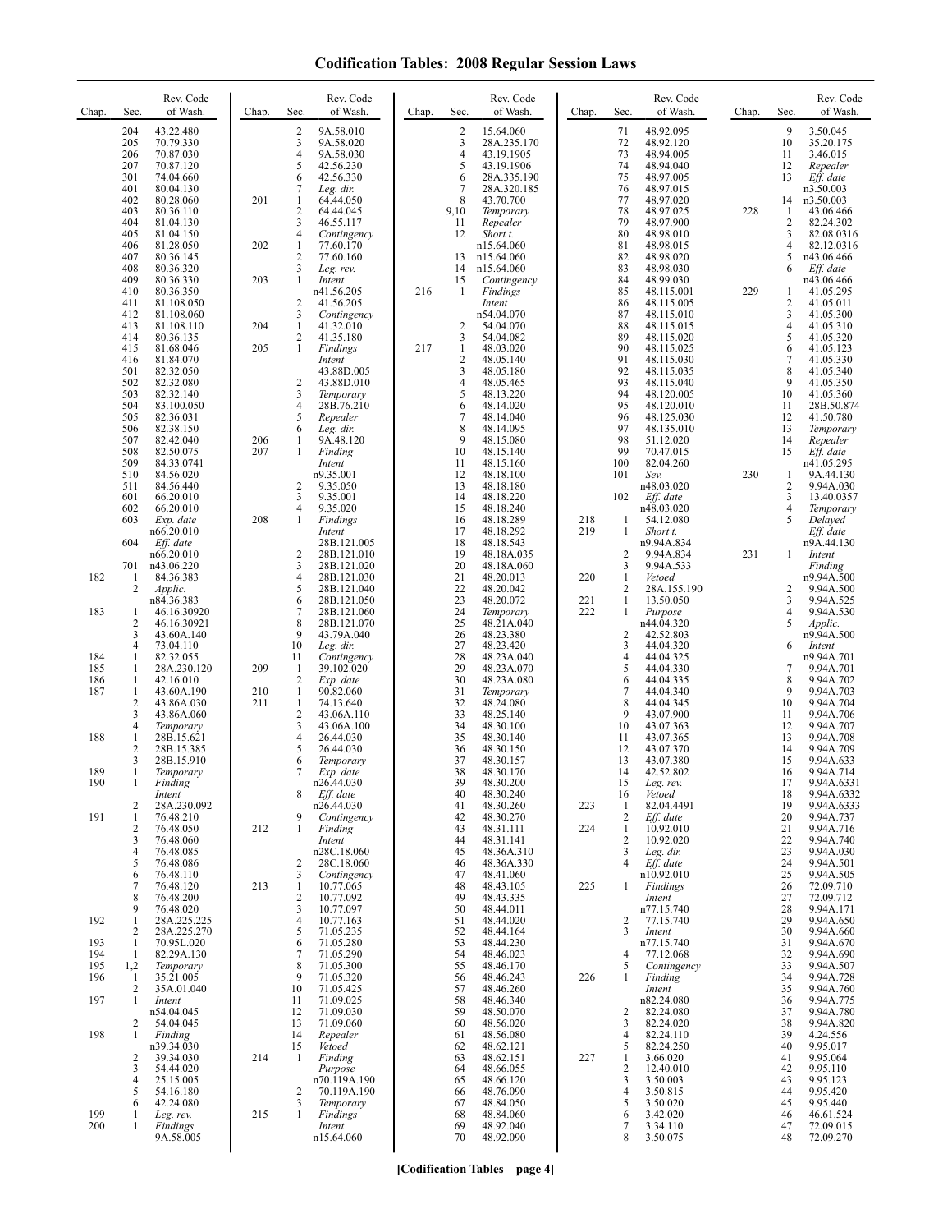| Chap.                    | Sec.                                         | Rev. Code<br>of Wash.                                                       | Chap.      | Rev. Code<br>of Wash.<br>Sec.                                                                          | Chap. | Sec.                             | Rev. Code<br>of Wash.                                                      | Chap.      | Sec.                                                       | Rev. Code<br>of Wash.                                                            | Chap. | Sec.                                                | Rev. Code<br>of Wash.                                                       |
|--------------------------|----------------------------------------------|-----------------------------------------------------------------------------|------------|--------------------------------------------------------------------------------------------------------|-------|----------------------------------|----------------------------------------------------------------------------|------------|------------------------------------------------------------|----------------------------------------------------------------------------------|-------|-----------------------------------------------------|-----------------------------------------------------------------------------|
|                          | 204<br>205<br>206<br>207<br>301              | 43.22.480<br>70.79.330<br>70.87.030<br>70.87.120<br>74.04.660               |            | 2<br>9A.58.010<br>3<br>9A.58.020<br>4<br>9A.58.030<br>5<br>42.56.230<br>6<br>42.56.330                 |       | 2<br>3<br>4<br>5<br>6            | 15.64.060<br>28A.235.170<br>43.19.1905<br>43.19.1906<br>28A.335.190        |            | 71<br>72<br>73<br>74<br>75                                 | 48.92.095<br>48.92.120<br>48.94.005<br>48.94.040<br>48.97.005                    |       | 9<br>10<br>11<br>12<br>13                           | 3.50.045<br>35.20.175<br>3.46.015<br>Repealer<br>Eff. date                  |
|                          | 401<br>402<br>403<br>404<br>405              | 80.04.130<br>80.28.060<br>80.36.110<br>81.04.130<br>81.04.150               | 201        | 7<br>Leg. dir.<br>1<br>64.44.050<br>2<br>64.44.045<br>3<br>46.55.117<br>4<br>Contingency               |       | 7<br>8<br>9,10<br>11<br>12       | 28A.320.185<br>43.70.700<br>Temporary<br>Repealer<br>Short t.              |            | 76<br>77<br>78<br>79<br>80                                 | 48.97.015<br>48.97.020<br>48.97.025<br>48.97.900<br>48.98.010                    | 228   | 14<br>1<br>2<br>3                                   | n3.50.003<br>n3.50.003<br>43.06.466<br>82.24.302<br>82.08.0316              |
|                          | 406<br>407<br>408<br>409                     | 81.28.050<br>80.36.145<br>80.36.320<br>80.36.330                            | 202<br>203 | $\mathbf{1}$<br>77.60.170<br>2<br>77.60.160<br>3<br>Leg. rev.<br>$\mathbf{1}$<br>Intent                |       | 13<br>14<br>15                   | n15.64.060<br>n15.64.060<br>n15.64.060<br>Contingency                      |            | 81<br>82<br>83<br>84                                       | 48.98.015<br>48.98.020<br>48.98.030<br>48.99.030                                 |       | 4<br>5<br>6                                         | 82.12.0316<br>n43.06.466<br>Eff. date<br>n43.06.466                         |
|                          | 410<br>411<br>412<br>413                     | 80.36.350<br>81.108.050<br>81.108.060<br>81.108.110                         | 204        | n41.56.205<br>2<br>41.56.205<br>3<br>Contingency<br>$\mathbf{1}$<br>41.32.010                          | 216   | $\mathbf{1}$<br>2                | Findings<br>Intent<br>n54.04.070<br>54.04.070                              |            | 85<br>86<br>87<br>88                                       | 48.115.001<br>48.115.005<br>48.115.010<br>48.115.015                             | 229   | 1<br>$\overline{c}$<br>3<br>$\overline{\mathbf{4}}$ | 41.05.295<br>41.05.011<br>41.05.300<br>41.05.310                            |
|                          | 414<br>415<br>416                            | 80.36.135<br>81.68.046<br>81.84.070                                         | 205        | 2<br>41.35.180<br>$\mathbf{1}$<br>Findings<br>Intent                                                   | 217   | 3<br>1<br>2                      | 54.04.082<br>48.03.020<br>48.05.140                                        |            | 89<br>90<br>91                                             | 48.115.020<br>48.115.025<br>48.115.030                                           |       | 5<br>6<br>$\tau$                                    | 41.05.320<br>41.05.123<br>41.05.330                                         |
|                          | 501<br>502<br>503<br>504<br>505<br>506       | 82.32.050<br>82.32.080<br>82.32.140<br>83.100.050<br>82.36.031<br>82.38.150 |            | 43.88D.005<br>2<br>43.88D.010<br>3<br>Temporary<br>4<br>28B.76.210<br>5<br>Repealer<br>6<br>Leg. dir.  |       | 3<br>4<br>5<br>6<br>7<br>8       | 48.05.180<br>48.05.465<br>48.13.220<br>48.14.020<br>48.14.040<br>48.14.095 |            | 92<br>93<br>94<br>95<br>96<br>97                           | 48.115.035<br>48.115.040<br>48.120.005<br>48.120.010<br>48.125.030<br>48.135.010 |       | 8<br>9<br>10<br>11<br>12<br>13                      | 41.05.340<br>41.05.350<br>41.05.360<br>28B.50.874<br>41.50.780<br>Temporary |
|                          | 507<br>508<br>509<br>510                     | 82.42.040<br>82.50.075<br>84.33.0741<br>84.56.020                           | 206<br>207 | 9A.48.120<br>$\mathbf{1}$<br>1<br>Finding<br>Intent<br>n9.35.001<br>2                                  |       | 9<br>10<br>11<br>12<br>13        | 48.15.080<br>48.15.140<br>48.15.160<br>48.18.100                           |            | 98<br>99<br>100<br>101                                     | 51.12.020<br>70.47.015<br>82.04.260<br>Sev.                                      | 230   | 14<br>15<br>1<br>2                                  | Repealer<br>Eff. date<br>n41.05.295<br>9A.44.130                            |
|                          | 511<br>601<br>602<br>603                     | 84.56.440<br>66.20.010<br>66.20.010<br>Exp. date<br>n66.20.010              | 208        | 9.35.050<br>3<br>9.35.001<br>4<br>9.35.020<br>1<br>Findings<br>Intent                                  |       | 14<br>15<br>16<br>17             | 48.18.180<br>48.18.220<br>48.18.240<br>48.18.289<br>48.18.292              | 218<br>219 | 102<br>1<br>$\mathbf{1}$                                   | n48.03.020<br>Eff. date<br>n48.03.020<br>54.12.080<br>Short t.                   |       | 3<br>4<br>5                                         | 9.94A.030<br>13.40.0357<br>Temporary<br>Delayed<br>Eff. date                |
| 182                      | 604<br>701<br>$\mathbf{1}$<br>$\overline{c}$ | Eff. date<br>n66.20.010<br>n43.06.220<br>84.36.383<br>Applic.               |            | 28B.121.005<br>2<br>28B.121.010<br>3<br>28B.121.020<br>4<br>28B.121.030<br>5<br>28B.121.040            |       | 18<br>19<br>20<br>21<br>22       | 48.18.543<br>48.18A.035<br>48.18A.060<br>48.20.013<br>48.20.042            | 220        | 2<br>3<br>$\mathbf{1}$<br>2                                | n9.94A.834<br>9.94A.834<br>9.94A.533<br>Vetoed<br>28A.155.190                    | 231   | $\mathbf{1}$<br>2                                   | n9A.44.130<br>Intent<br>Finding<br>n9.94A.500<br>9.94A.500                  |
| 183                      | 1<br>2<br>3                                  | n84.36.383<br>46.16.30920<br>46.16.30921<br>43.60A.140                      |            | 6<br>28B.121.050<br>7<br>28B.121.060<br>8<br>28B.121.070<br>9<br>43.79A.040                            |       | 23<br>24<br>25<br>26             | 48.20.072<br>Temporary<br>48.21A.040<br>48.23.380                          | 221<br>222 | $\mathbf{1}$<br>1<br>$\overline{c}$                        | 13.50.050<br>Purpose<br>n44.04.320<br>42.52.803                                  |       | 3<br>4<br>5                                         | 9.94A.525<br>9.94A.530<br>Applic.<br>n9.94A.500                             |
| 184<br>185<br>186        | $\overline{4}$<br>1<br>1<br>1                | 73.04.110<br>82.32.055<br>28A.230.120<br>42.16.010                          | 209        | 10<br>Leg. dir.<br>11<br>Contingency<br>-1<br>39.102.020<br>2<br>Exp. date                             |       | 27<br>28<br>29<br>30             | 48.23.420<br>48.23A.040<br>48.23A.070<br>48.23A.080                        |            | 3<br>$\overline{4}$<br>5<br>6                              | 44.04.320<br>44.04.325<br>44.04.330<br>44.04.335                                 |       | 6<br>7<br>8                                         | Intent<br>n9.94A.701<br>9.94A.701<br>9.94A.702                              |
| 187                      | 1<br>$\overline{2}$<br>3<br>4                | 43.60A.190<br>43.86A.030<br>43.86A.060<br>Temporary                         | 210<br>211 | $\mathbf{1}$<br>90.82.060<br>$\mathbf{1}$<br>74.13.640<br>2<br>43.06A.110<br>3<br>43.06A.100           |       | 31<br>32<br>33<br>34             | Temporary<br>48.24.080<br>48.25.140<br>48.30.100                           |            | $\overline{7}$<br>8<br>9<br>10                             | 44.04.340<br>44.04.345<br>43.07.900<br>43.07.363                                 |       | 9<br>10<br>11<br>12                                 | 9.94A.703<br>9.94A.704<br>9.94A.706<br>9.94A.707                            |
| 188<br>189               | 1<br>2<br>3<br>1                             | 28B.15.621<br>28B.15.385<br>28B.15.910<br>Temporary                         |            | 4<br>26.44.030<br>5<br>26.44.030<br>6<br>Temporary<br>7<br>Exp. date                                   |       | 35<br>36<br>37<br>38             | 48.30.140<br>48.30.150<br>48.30.157<br>48.30.170                           |            | 11<br>12<br>13<br>14                                       | 43.07.365<br>43.07.370<br>43.07.380<br>42.52.802                                 |       | 13<br>14<br>15<br>16                                | 9.94A.708<br>9.94A.709<br>9.94A.633<br>9.94A.714                            |
| 190<br>191               | 1<br>2<br>1                                  | Finding<br>Intent<br>28A.230.092<br>76.48.210                               |            | n26.44.030<br>8<br>Eff. date<br>n26.44.030<br>9<br>Contingency                                         |       | 39<br>40<br>41<br>42             | 48.30.200<br>48.30.240<br>48.30.260<br>48.30.270                           | 223        | 15<br>16<br>1<br>$\overline{c}$                            | Leg. rev.<br>Vetoed<br>82.04.4491<br>Eff. date                                   |       | 17<br>18<br>19<br>20                                | 9.94A.6331<br>9.94A.6332<br>9.94A.6333<br>9.94A.737                         |
|                          | $\overline{c}$<br>3<br>$\overline{4}$<br>5   | 76.48.050<br>76.48.060<br>76.48.085<br>76.48.086                            | 212        | 1<br>Finding<br>Intent<br>n28C.18.060<br>2<br>28C.18.060                                               |       | 43<br>44<br>45<br>46             | 48.31.111<br>48.31.141<br>48.36A.310<br>48.36A.330                         | 224        | $\mathbf{1}$<br>$\overline{c}$<br>3<br>$\overline{4}$      | 10.92.010<br>10.92.020<br>Leg. dir.<br>Eff. date                                 |       | 21<br>22<br>23<br>24                                | 9.94A.716<br>9.94A.740<br>9.94A.030<br>9.94A.501                            |
|                          | 6<br>7<br>8<br>9                             | 76.48.110<br>76.48.120<br>76.48.200<br>76.48.020<br>28A.225.225             | 213        | 3<br>Contingency<br>$\mathbf{1}$<br>10.77.065<br>2<br>10.77.092<br>3<br>10.77.097                      |       | 47<br>48<br>49<br>50             | 48.41.060<br>48.43.105<br>48.43.335<br>48.44.011                           | 225        | 1                                                          | n10.92.010<br>Findings<br>Intent<br>n77.15.740                                   |       | 25<br>26<br>27<br>28                                | 9.94A.505<br>72.09.710<br>72.09.712<br>9.94A.171                            |
| 192<br>193<br>194<br>195 | 1<br>2<br>1<br>1<br>1,2                      | 28A.225.270<br>70.95L.020<br>82.29A.130<br>Temporary                        |            | 4<br>10.77.163<br>5<br>71.05.235<br>6<br>71.05.280<br>7<br>71.05.290<br>8<br>71.05.300                 |       | 51<br>52<br>53<br>54<br>55       | 48.44.020<br>48.44.164<br>48.44.230<br>48.46.023<br>48.46.170              |            | 2<br>3<br>4<br>5                                           | 77.15.740<br>Intent<br>n77.15.740<br>77.12.068<br>Contingency                    |       | 29<br>30<br>31<br>32<br>33                          | 9.94A.650<br>9.94A.660<br>9.94A.670<br>9.94A.690<br>9.94A.507               |
| 196<br>197               | 1<br>2<br>1                                  | 35.21.005<br>35A.01.040<br>Intent<br>n54.04.045                             |            | 9<br>71.05.320<br>10<br>71.05.425<br>71.09.025<br>11<br>12<br>71.09.030                                |       | 56<br>57<br>58<br>59             | 48.46.243<br>48.46.260<br>48.46.340<br>48.50.070                           | 226        | 1<br>2                                                     | Finding<br>Intent<br>n82.24.080<br>82.24.080                                     |       | 34<br>35<br>36<br>37                                | 9.94A.728<br>9.94A.760<br>9.94A.775<br>9.94A.780                            |
| 198                      | 2<br>1<br>2<br>3                             | 54.04.045<br>Finding<br>n39.34.030<br>39.34.030<br>54.44.020                | 214        | 13<br>71.09.060<br>14<br>Repealer<br>15<br>Vetoed<br>$\mathbf{1}$<br>Finding<br>Purpose                |       | 60<br>61<br>62<br>63<br>64       | 48.56.020<br>48.56.080<br>48.62.121<br>48.62.151<br>48.66.055              | 227        | 3<br>$\overline{4}$<br>5<br>$\mathbf{1}$<br>$\overline{2}$ | 82.24.020<br>82.24.110<br>82.24.250<br>3.66.020<br>12.40.010                     |       | 38<br>39<br>40<br>41<br>42                          | 9.94A.820<br>4.24.556<br>9.95.017<br>9.95.064<br>9.95.110                   |
| 199<br>200               | $\overline{4}$<br>5<br>6<br>1<br>1           | 25.15.005<br>54.16.180<br>42.24.080<br>Leg. rev.<br>Findings<br>9A.58.005   | 215        | n70.119A.190<br>2<br>70.119A.190<br>3<br>Temporary<br>$\mathbf{1}$<br>Findings<br>Intent<br>n15.64.060 |       | 65<br>66<br>67<br>68<br>69<br>70 | 48.66.120<br>48.76.090<br>48.84.050<br>48.84.060<br>48.92.040<br>48.92.090 |            | 3<br>$\overline{4}$<br>5<br>6<br>7<br>8                    | 3.50.003<br>3.50.815<br>3.50.020<br>3.42.020<br>3.34.110<br>3.50.075             |       | 43<br>44<br>45<br>46<br>47<br>48                    | 9.95.123<br>9.95.420<br>9.95.440<br>46.61.524<br>72.09.015<br>72.09.270     |

**[Codification Tables—page 4]**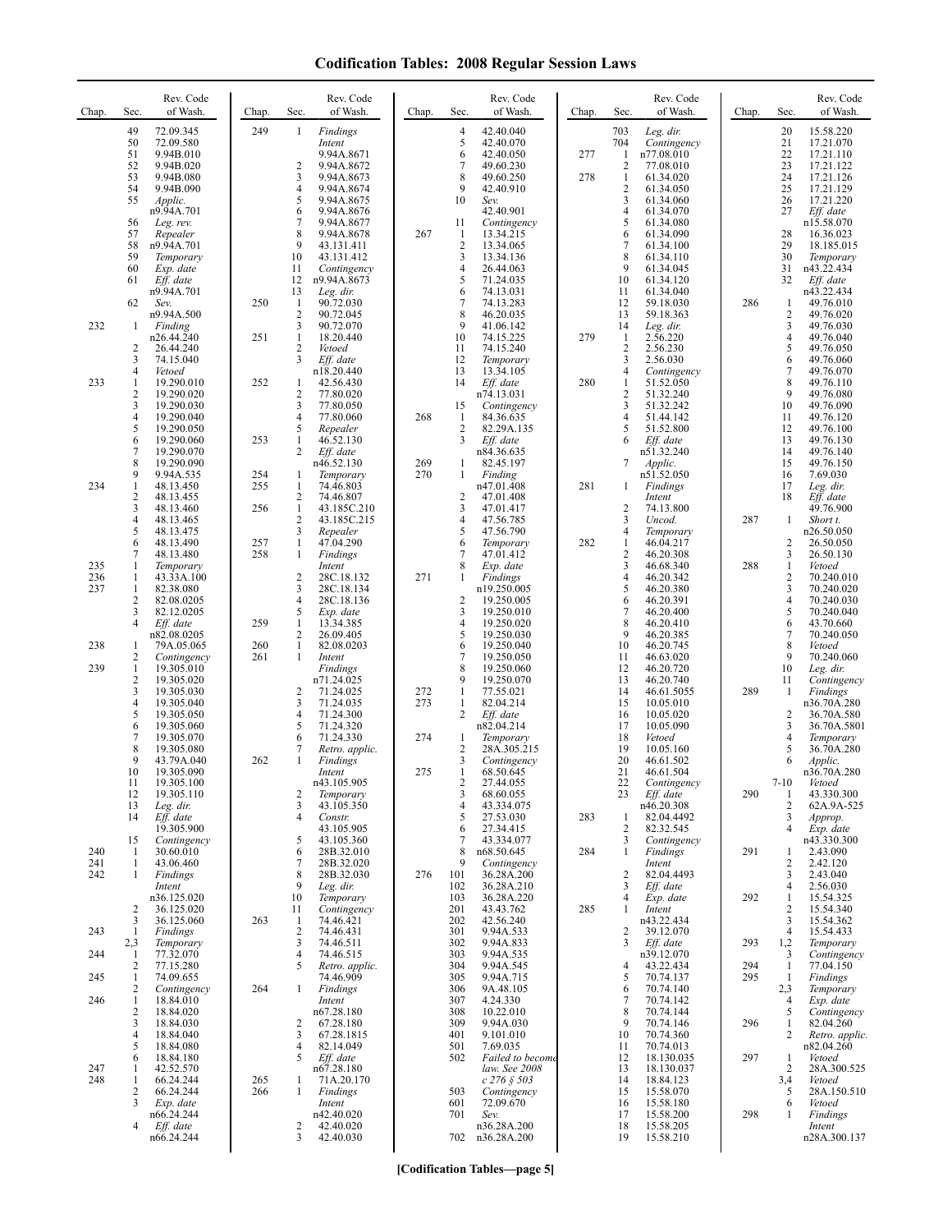| Chap.             | Sec.                                                            | Rev. Code<br>of Wash.                                                                                          | Chap.             | Sec.                                                                  | Rev. Code<br>of Wash.                                                                                                                  | Chap.             | Sec.                                                    | Rev. Code<br>of Wash.                                                                                                            | Chap.      | Sec.                                                     | Rev. Code<br>of Wash.                                                                                             | Chap.             | Sec.                                                 | Rev. Code<br>of Wash.                                                                                                              |
|-------------------|-----------------------------------------------------------------|----------------------------------------------------------------------------------------------------------------|-------------------|-----------------------------------------------------------------------|----------------------------------------------------------------------------------------------------------------------------------------|-------------------|---------------------------------------------------------|----------------------------------------------------------------------------------------------------------------------------------|------------|----------------------------------------------------------|-------------------------------------------------------------------------------------------------------------------|-------------------|------------------------------------------------------|------------------------------------------------------------------------------------------------------------------------------------|
|                   | 49<br>50<br>51<br>52<br>53<br>54<br>55<br>56                    | 72.09.345<br>72.09.580<br>9.94B.010<br>9.94B.020<br>9.94B.080<br>9.94B.090<br>Applic.<br>n9.94A.701            | 249               | 1<br>2<br>3<br>4<br>5<br>6<br>7                                       | Findings<br>Intent<br>9.94A.8671<br>9.94A.8672<br>9.94A.8673<br>9.94A.8674<br>9.94A.8675<br>9.94A.8676                                 |                   | $\overline{4}$<br>5<br>6<br>7<br>8<br>9<br>10<br>11     | 42.40.040<br>42.40.070<br>42.40.050<br>49.60.230<br>49.60.250<br>42.40.910<br>Sev.<br>42.40.901                                  | 277<br>278 | 703<br>704<br>1<br>2<br>$\mathbf{1}$<br>2<br>3<br>4<br>5 | Leg. dir.<br>Contingency<br>n77.08.010<br>77.08.010<br>61.34.020<br>61.34.050<br>61.34.060<br>61.34.070           |                   | 20<br>21<br>22<br>23<br>24<br>25<br>26<br>27         | 15.58.220<br>17.21.070<br>17.21.110<br>17.21.122<br>17.21.126<br>17.21.129<br>17.21.220<br>Eff. date                               |
| 232               | 57<br>58<br>59<br>60<br>61<br>62                                | Leg. rev.<br>Repealer<br>n9.94A.701<br>Temporary<br>Exp. date<br>Eff. date<br>n9.94A.701<br>Sev.<br>n9.94A.500 | 250               | 8<br>9<br>10<br>11<br>12<br>13<br>$\mathbf{1}$<br>$\overline{2}$<br>3 | 9.94A.8677<br>9.94A.8678<br>43.131.411<br>43.131.412<br>Contingency<br>n9.94A.8673<br>Leg. dir.<br>90.72.030<br>90.72.045<br>90.72.070 | 267               | -1<br>$\overline{c}$<br>3<br>4<br>5<br>6<br>7<br>8<br>9 | Contingency<br>13.34.215<br>13.34.065<br>13.34.136<br>26.44.063<br>71.24.035<br>74.13.031<br>74.13.283<br>46.20.035<br>41.06.142 |            | 6<br>7<br>8<br>9<br>10<br>11<br>12<br>13                 | 61.34.080<br>61.34.090<br>61.34.100<br>61.34.110<br>61.34.045<br>61.34.120<br>61.34.040<br>59.18.030<br>59.18.363 | 286               | 28<br>29<br>30<br>31<br>32<br>1<br>2<br>3            | n15.58.070<br>16.36.023<br>18.185.015<br>Temporary<br>n43.22.434<br>Eff. date<br>n43.22.434<br>49.76.010<br>49.76.020<br>49.76.030 |
|                   | -1<br>$\overline{2}$<br>3<br>4                                  | Finding<br>n26.44.240<br>26.44.240<br>74.15.040<br>Vetoed                                                      | 251               | $\mathbf{1}$<br>2<br>3                                                | 18.20.440<br>Vetoed<br>Eff. date<br>n18.20.440                                                                                         |                   | 10<br>11<br>12<br>13                                    | 74.15.225<br>74.15.240<br>Temporary<br>13.34.105                                                                                 | 279        | 14<br>-1<br>$\overline{2}$<br>3<br>4                     | Leg. dir.<br>2.56.220<br>2.56.230<br>2.56.030<br>Contingency                                                      |                   | 4<br>5<br>6<br>7                                     | 49.76.040<br>49.76.050<br>49.76.060<br>49.76.070                                                                                   |
| 233               | 1<br>$\overline{2}$<br>3<br>$\overline{4}$<br>5<br>6            | 19.290.010<br>19.290.020<br>19.290.030<br>19.290.040<br>19.290.050<br>19.290.060                               | 252<br>253        | 1<br>2<br>3<br>4<br>5<br>$\mathbf{1}$                                 | 42.56.430<br>77.80.020<br>77.80.050<br>77.80.060<br>Repealer<br>46.52.130                                                              | 268               | 14<br>15<br>-1<br>2<br>3                                | Eff. date<br>n74.13.031<br>Contingency<br>84.36.635<br>82.29A.135<br>Eff. date                                                   | 280        | 1<br>$\overline{\mathbf{c}}$<br>3<br>4<br>5<br>6         | 51.52.050<br>51.32.240<br>51.32.242<br>51.44.142<br>51.52.800<br>Eff. date                                        |                   | 8<br>9<br>10<br>11<br>12<br>13                       | 49.76.110<br>49.76.080<br>49.76.090<br>49.76.120<br>49.76.100<br>49.76.130                                                         |
| 234               | $\overline{7}$<br>8<br>9<br>$\mathbf{1}$<br>$\overline{c}$      | 19.290.070<br>19.290.090<br>9.94A.535<br>48.13.450<br>48.13.455                                                | 254<br>255        | 2<br>1<br>$\mathbf{1}$<br>2                                           | Eff. date<br>n46.52.130<br>Temporary<br>74.46.803<br>74.46.807                                                                         | 269<br>270        | $\mathbf{1}$<br>1<br>$\overline{c}$                     | n84.36.635<br>82.45.197<br>Finding<br>n47.01.408<br>47.01.408                                                                    | 281        | 7<br>1                                                   | n51.32.240<br>Applic.<br>n51.52.050<br>Findings<br>Intent                                                         |                   | 14<br>15<br>16<br>17<br>18                           | 49.76.140<br>49.76.150<br>7.69.030<br>Leg. dir.<br>Eff. date                                                                       |
|                   | 3<br>$\overline{4}$<br>5<br>6<br>7                              | 48.13.460<br>48.13.465<br>48.13.475<br>48.13.490<br>48.13.480                                                  | 256<br>257<br>258 | $\mathbf{1}$<br>2<br>3<br>$\mathbf{1}$<br>1                           | 43.185C.210<br>43.185C.215<br>Repealer<br>47.04.290<br>Findings                                                                        |                   | 3<br>4<br>5<br>6<br>7                                   | 47.01.417<br>47.56.785<br>47.56.790<br>Temporary<br>47.01.412                                                                    | 282        | $\overline{2}$<br>3<br>4<br>1<br>$\overline{\mathbf{c}}$ | 74.13.800<br>Uncod.<br>Temporary<br>46.04.217<br>46.20.308                                                        | 287               | 1<br>2<br>3                                          | 49.76.900<br>Short t.<br>n26.50.050<br>26.50.050<br>26.50.130                                                                      |
| 235<br>236<br>237 | 1<br>1<br>$\mathbf{1}$<br>$\overline{2}$<br>3<br>$\overline{4}$ | Temporary<br>43.33A.100<br>82.38.080<br>82.08.0205<br>82.12.0205<br>Eff. date                                  | 259               | 2<br>3<br>$\overline{4}$<br>5<br>$\mathbf{1}$                         | Intent<br>28C.18.132<br>28C.18.134<br>28C.18.136<br>Exp. date<br>13.34.385                                                             | 271               | 8<br>1<br>2<br>3<br>4                                   | Exp. date<br>Findings<br>n19.250.005<br>19.250.005<br>19.250.010<br>19.250.020                                                   |            | 3<br>$\overline{4}$<br>5<br>6<br>7<br>8                  | 46.68.340<br>46.20.342<br>46.20.380<br>46.20.391<br>46.20.400<br>46.20.410                                        | 288               | $\mathbf{1}$<br>2<br>3<br>4<br>5<br>6                | Vetoed<br>70.240.010<br>70.240.020<br>70.240.030<br>70.240.040<br>43.70.660                                                        |
| 238<br>239        | -1<br>$\overline{c}$<br>$\mathbf{1}$<br>$\overline{2}$<br>3     | n82.08.0205<br>79A.05.065<br>Contingency<br>19.305.010<br>19.305.020<br>19.305.030                             | 260<br>261        | $\overline{c}$<br>$\mathbf{1}$<br>1<br>2                              | 26.09.405<br>82.08.0203<br>Intent<br>Findings<br>n71.24.025<br>71.24.025                                                               | 272               | 5<br>6<br>7<br>8<br>9<br>$\mathbf{1}$                   | 19.250.030<br>19.250.040<br>19.250.050<br>19.250.060<br>19.250.070<br>77.55.021                                                  |            | 9<br>10<br>11<br>12<br>13<br>14                          | 46.20.385<br>46.20.745<br>46.63.020<br>46.20.720<br>46.20.740<br>46.61.5055                                       | 289               | 7<br>8<br>9<br>10<br>11<br>1                         | 70.240.050<br>Vetoed<br>70.240.060<br>Leg. dir.<br>Contingency<br>Findings                                                         |
|                   | $\overline{4}$<br>5<br>6<br>$\overline{7}$<br>8<br>9<br>10      | 19.305.040<br>19.305.050<br>19.305.060<br>19.305.070<br>19.305.080<br>43.79A.040<br>19.305.090                 | 262               | 3<br>4<br>5<br>6<br>7<br>1                                            | 71.24.035<br>71.24.300<br>71.24.320<br>71.24.330<br>Retro. applic.<br>Findings<br>Intent                                               | 273<br>274<br>275 | $\mathbf{1}$<br>2<br>1<br>$\overline{c}$<br>3<br>1      | 82.04.214<br>Eff. date<br>n82.04.214<br>Temporary<br>28A.305.215<br>Contingency<br>68.50.645                                     |            | 15<br>16<br>17<br>18<br>19<br>20<br>21                   | 10.05.010<br>10.05.020<br>10.05.090<br>Vetoed<br>10.05.160<br>46.61.502<br>46.61.504                              |                   | 2<br>3<br>4<br>5<br>6                                | n36.70A.280<br>36.70A.580<br>36.70A.5801<br>Temporary<br>36.70A.280<br>Applic.<br>n36.70A.280                                      |
|                   | 11<br>12<br>13<br>14<br>15                                      | 19.305.100<br>19.305.110<br>Leg. dir.<br>Eff. date<br>19.305.900<br>Contingency                                |                   | 2<br>3<br>$\overline{4}$<br>5                                         | n43.105.905<br>Temporary<br>43.105.350<br>Constr.<br>43.105.905<br>43.105.360                                                          |                   | 2<br>3<br>4<br>5<br>6<br>7                              | 27.44.055<br>68.60.055<br>43.334.075<br>27.53.030<br>27.34.415<br>43.334.077                                                     | 283        | 22<br>23<br>1<br>2<br>3                                  | Contingency<br>$Eff.$ date<br>n46.20.308<br>82.04.4492<br>82.32.545<br>Contingency                                | 290               | $7 - 10$<br>1<br>2<br>3<br>4                         | Vetoed<br>43.330.300<br>62A.9A-525<br>Approp.<br>Exp. date<br>n43.330.300                                                          |
| 240<br>241<br>242 | -1<br>1<br>1                                                    | 30.60.010<br>43.06.460<br>Findings<br>Intent<br>n36.125.020                                                    |                   | 6<br>7<br>8<br>9<br>10                                                | 28B.32.010<br>28B.32.020<br>28B.32.030<br>Leg. dir.<br>Temporary                                                                       | 276               | 8<br>9<br>101<br>102<br>103                             | n68.50.645<br>Contingency<br>36.28A.200<br>36.28A.210<br>36.28A.220                                                              | 284        | 1<br>$\overline{2}$<br>3<br>4                            | Findings<br>Intent<br>82.04.4493<br>Eff. date<br>Exp. date                                                        | 291<br>292        | 1<br>2<br>3<br>4<br>1                                | 2.43.090<br>2.42.120<br>2.43.040<br>2.56.030<br>15.54.325                                                                          |
| 243<br>244        | 2<br>3<br>-1<br>2,3<br>-1                                       | 36.125.020<br>36.125.060<br>Findings<br>Temporary<br>77.32.070                                                 | 263               | 11<br>-1<br>2<br>3<br>$\overline{4}$                                  | Contingency<br>74.46.421<br>74.46.431<br>74.46.511<br>74.46.515                                                                        |                   | 201<br>202<br>301<br>302<br>303                         | 43.43.762<br>42.56.240<br>9.94A.533<br>9.94A.833<br>9.94A.535                                                                    | 285        | 1<br>2<br>3                                              | Intent<br>n43.22.434<br>39.12.070<br>Eff. date<br>n39.12.070                                                      | 293               | 2<br>3<br>$\overline{4}$<br>1,2<br>3                 | 15.54.340<br>15.54.362<br>15.54.433<br>Temporary<br>Contingency                                                                    |
| 245<br>246        | 2<br>1<br>$\overline{2}$<br>$\mathbf{1}$<br>$\overline{c}$<br>3 | 77.15.280<br>74.09.655<br>Contingency<br>18.84.010<br>18.84.020<br>18.84.030                                   | 264               | 5<br>1<br>2                                                           | Retro. applic.<br>74.46.909<br>Findings<br>Intent<br>n67.28.180<br>67.28.180                                                           |                   | 304<br>305<br>306<br>307<br>308<br>309                  | 9.94A.545<br>9.94A.715<br>9A.48.105<br>4.24.330<br>10.22.010<br>9.94A.030                                                        |            | 4<br>5<br>6<br>7<br>8<br>9                               | 43.22.434<br>70.74.137<br>70.74.140<br>70.74.142<br>70.74.144<br>70.74.146                                        | 294<br>295<br>296 | $\mathbf{1}$<br>1<br>2,3<br>$\overline{4}$<br>5<br>1 | 77.04.150<br>Findings<br>Temporary<br>Exp. date<br>Contingency<br>82.04.260                                                        |
| 247<br>248        | $\overline{4}$<br>5<br>6<br>$\mathbf{1}$<br>$\mathbf{1}$        | 18.84.040<br>18.84.080<br>18.84.180<br>42.52.570<br>66.24.244                                                  | 265               | 3<br>$\overline{4}$<br>5<br>1                                         | 67.28.1815<br>82.14.049<br>Eff. date<br>n67.28.180<br>71A.20.170                                                                       |                   | 401<br>501<br>502                                       | 9.101.010<br>7.69.035<br>Failed to become<br>law. See 2008<br>$c\,276\,\S\,503$                                                  |            | 10<br>11<br>12<br>13<br>14                               | 70.74.360<br>70.74.013<br>18.130.035<br>18.130.037<br>18.84.123                                                   | 297               | 2<br>1<br>$\overline{c}$<br>3,4                      | Retro. applic.<br>n82.04.260<br>Vetoed<br>28A.300.525<br>Vetoed                                                                    |
|                   | $\overline{2}$<br>3<br>4                                        | 66.24.244<br>Exp. date<br>n66.24.244<br>Eff. date<br>n66.24.244                                                | 266               | 1<br>2<br>3                                                           | Findings<br>Intent<br>n42.40.020<br>42.40.020<br>42.40.030                                                                             |                   | 503<br>601<br>701<br>702                                | Contingency<br>72.09.670<br>Sev.<br>n36.28A.200<br>n36.28A.200                                                                   |            | 15<br>16<br>17<br>18<br>19                               | 15.58.070<br>15.58.180<br>15.58.200<br>15.58.205<br>15.58.210                                                     | 298               | 5<br>6<br>1                                          | 28A.150.510<br>Vetoed<br>Findings<br>Intent<br>n28A.300.137                                                                        |

**[Codification Tables—page 5]**